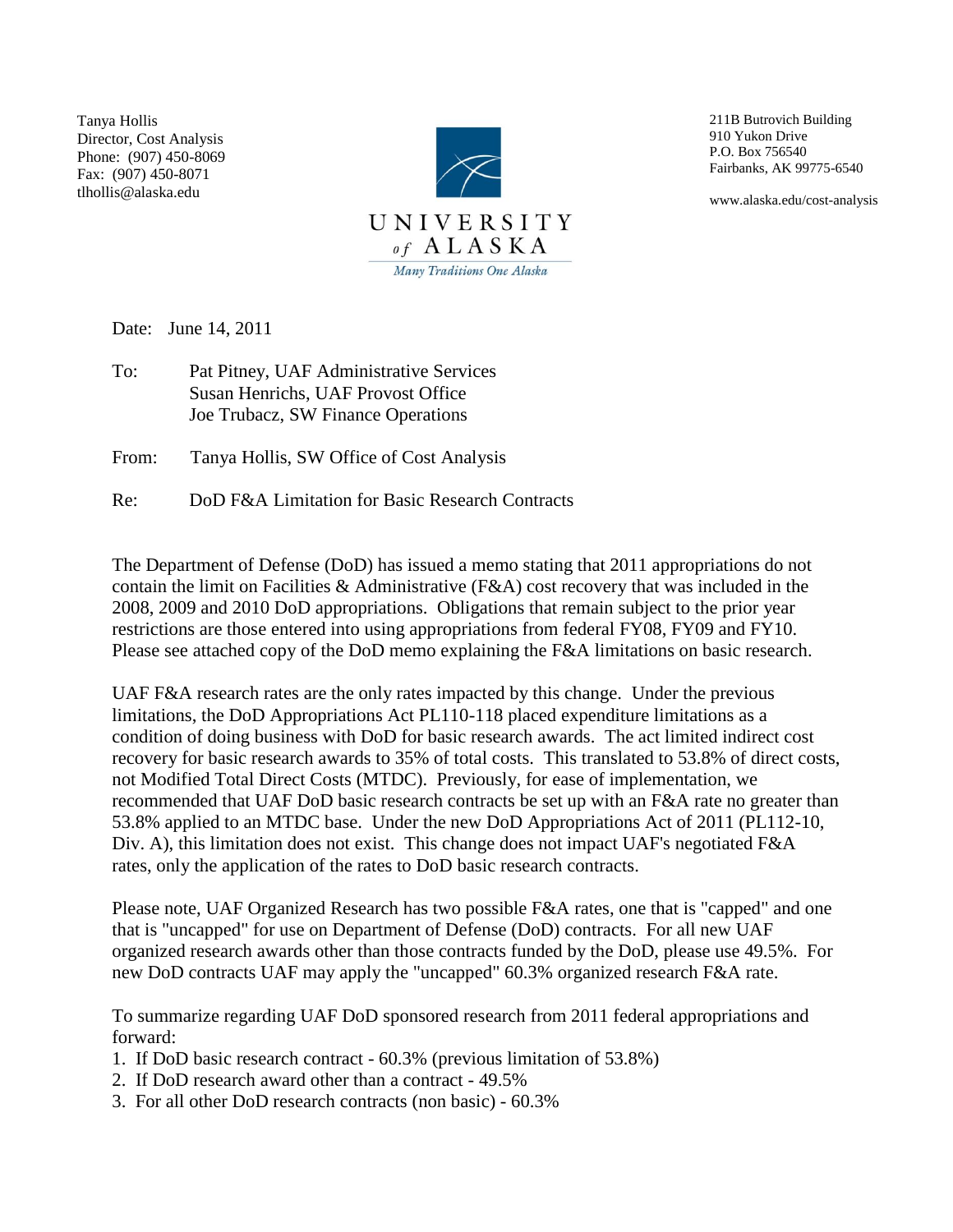Tanya Hollis Director, Cost Analysis Phone: (907) 450-8069 Fax: (907) 450-8071 tlhollis@alaska.edu



211B Butrovich Building 910 Yukon Drive P.O. Box 756540 Fairbanks, AK 99775-6540

www.alaska.edu/cost-analysis

Date: June 14, 2011

To: Pat Pitney, UAF Administrative Services Susan Henrichs, UAF Provost Office Joe Trubacz, SW Finance Operations

From: Tanya Hollis, SW Office of Cost Analysis

Re: DoD F&A Limitation for Basic Research Contracts

The Department of Defense (DoD) has issued a memo stating that 2011 appropriations do not contain the limit on Facilities & Administrative (F&A) cost recovery that was included in the 2008, 2009 and 2010 DoD appropriations. Obligations that remain subject to the prior year restrictions are those entered into using appropriations from federal FY08, FY09 and FY10. Please see attached copy of the DoD memo explaining the F&A limitations on basic research.

UAF F&A research rates are the only rates impacted by this change. Under the previous limitations, the DoD Appropriations Act PL110-118 placed expenditure limitations as a condition of doing business with DoD for basic research awards. The act limited indirect cost recovery for basic research awards to 35% of total costs. This translated to 53.8% of direct costs, not Modified Total Direct Costs (MTDC). Previously, for ease of implementation, we recommended that UAF DoD basic research contracts be set up with an F&A rate no greater than 53.8% applied to an MTDC base. Under the new DoD Appropriations Act of 2011 (PL112-10, Div. A), this limitation does not exist. This change does not impact UAF's negotiated F&A rates, only the application of the rates to DoD basic research contracts.

Please note, UAF Organized Research has two possible F&A rates, one that is "capped" and one that is "uncapped" for use on Department of Defense (DoD) contracts. For all new UAF organized research awards other than those contracts funded by the DoD, please use 49.5%. For new DoD contracts UAF may apply the "uncapped" 60.3% organized research F&A rate.

To summarize regarding UAF DoD sponsored research from 2011 federal appropriations and forward:

- 1. If DoD basic research contract 60.3% (previous limitation of 53.8%)
- 2. If DoD research award other than a contract 49.5%
- 3. For all other DoD research contracts (non basic) 60.3%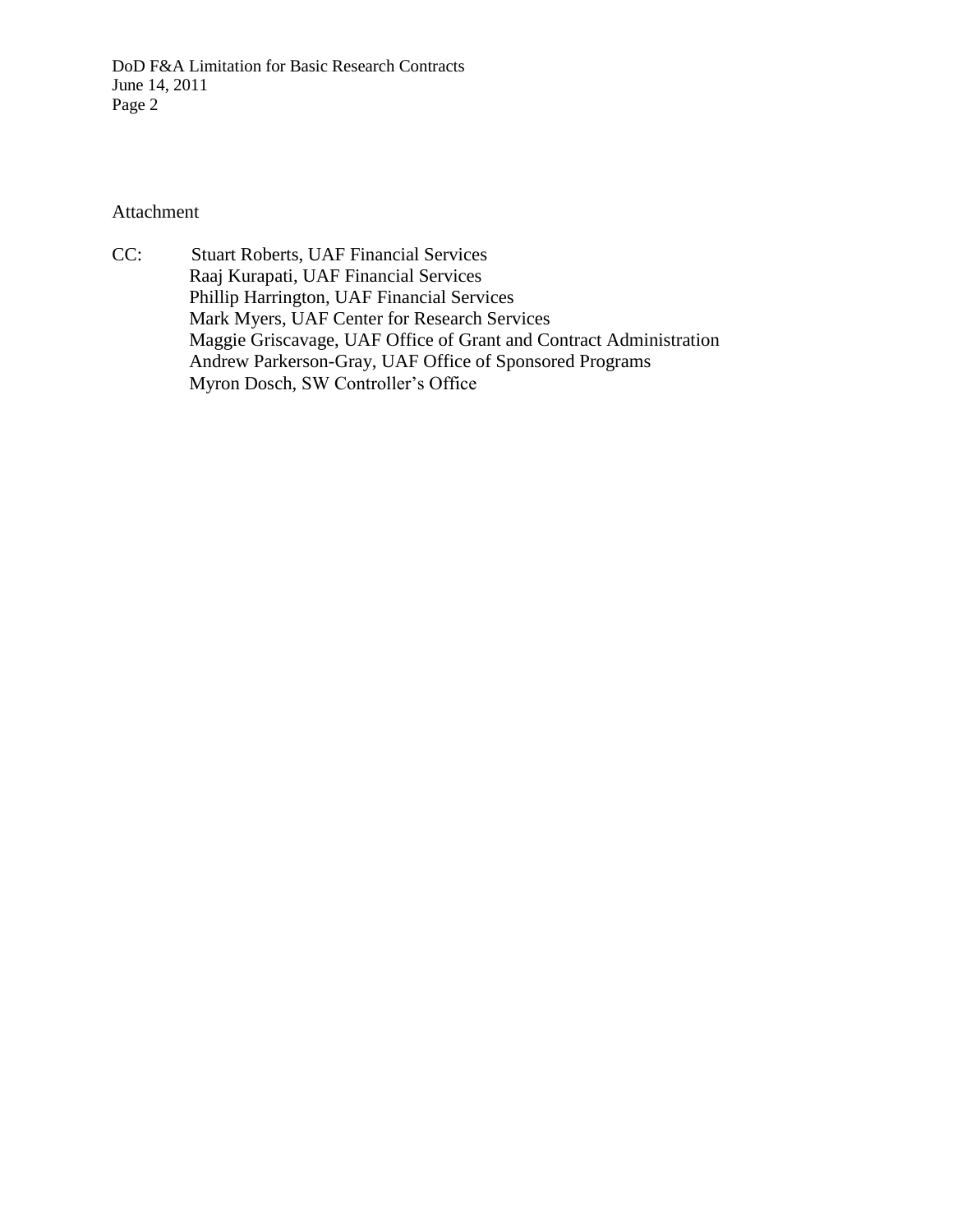DoD F&A Limitation for Basic Research Contracts June 14, 2011 Page 2

Attachment

CC: Stuart Roberts, UAF Financial Services Raaj Kurapati, UAF Financial Services Phillip Harrington, UAF Financial Services Mark Myers, UAF Center for Research Services Maggie Griscavage, UAF Office of Grant and Contract Administration Andrew Parkerson-Gray, UAF Office of Sponsored Programs Myron Dosch, SW Controller's Office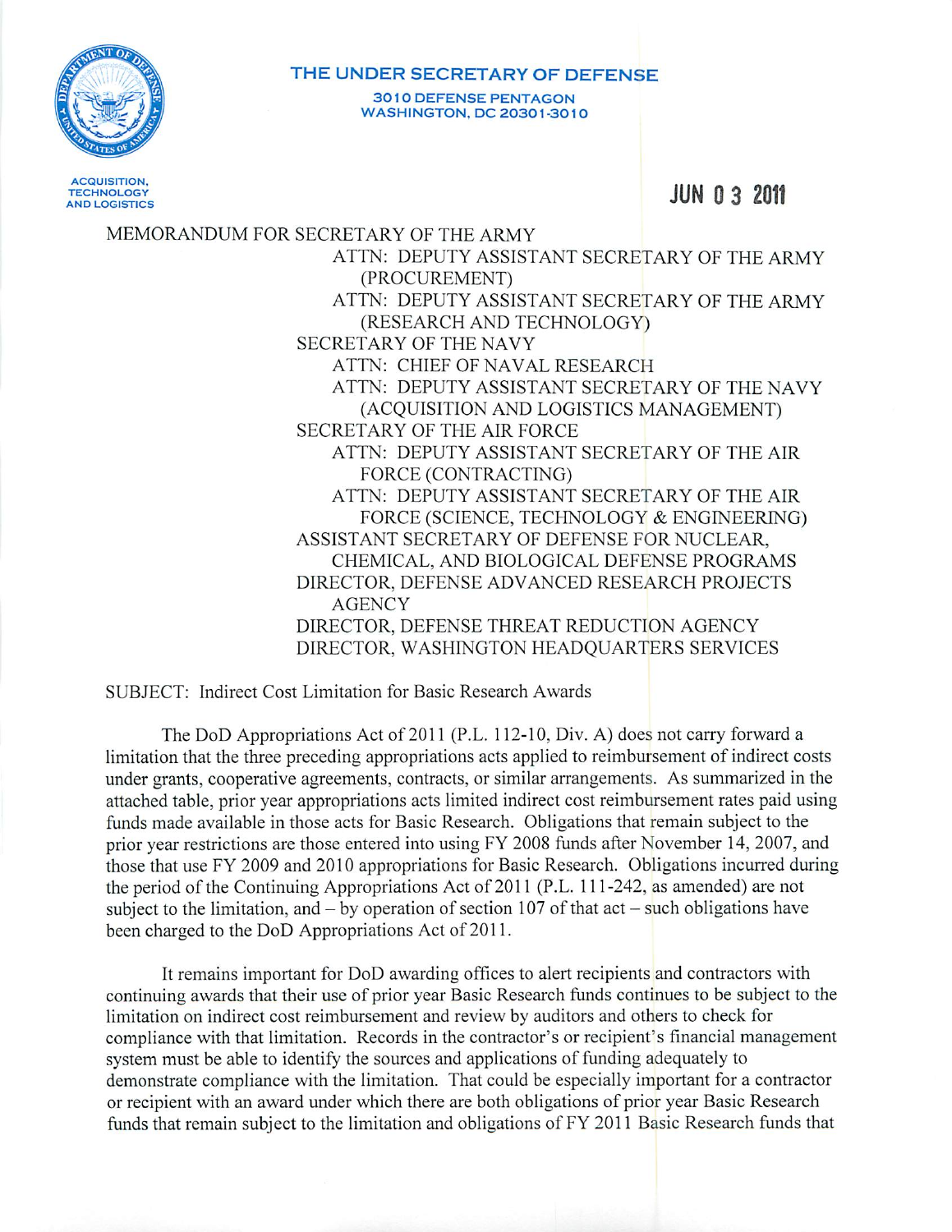

## THE UNDER SECRETARY OF DEFENSE **3010 DEFENSE PENTAGON WASHINGTON, DC 20301-3010**

**ACQUISITION, TECHNOLOGY AND LOGISTICS** 

**JUN 0 3 2011** 

MEMORANDUM FOR SECRETARY OF THE ARMY ATTN: DEPUTY ASSISTANT SECRETARY OF THE ARMY (PROCUREMENT) ATTN: DEPUTY ASSISTANT SECRETARY OF THE ARMY (RESEARCH AND TECHNOLOGY) SECRETARY OF THE NAVY ATTN: CHIEF OF NAVAL RESEARCH ATTN: DEPUTY ASSISTANT SECRETARY OF THE NAVY (ACQUISITION AND LOGISTICS MANAGEMENT) **SECRETARY OF THE AIR FORCE** ATTN: DEPUTY ASSISTANT SECRETARY OF THE AIR FORCE (CONTRACTING) ATTN: DEPUTY ASSISTANT SECRETARY OF THE AIR FORCE (SCIENCE, TECHNOLOGY & ENGINEERING) ASSISTANT SECRETARY OF DEFENSE FOR NUCLEAR. CHEMICAL, AND BIOLOGICAL DEFENSE PROGRAMS DIRECTOR, DEFENSE ADVANCED RESEARCH PROJECTS **AGENCY** DIRECTOR, DEFENSE THREAT REDUCTION AGENCY DIRECTOR, WASHINGTON HEADOUARTERS SERVICES

SUBJECT: Indirect Cost Limitation for Basic Research Awards

The DoD Appropriations Act of 2011 (P.L. 112-10, Div. A) does not carry forward a limitation that the three preceding appropriations acts applied to reimbursement of indirect costs under grants, cooperative agreements, contracts, or similar arrangements. As summarized in the attached table, prior year appropriations acts limited indirect cost reimbursement rates paid using funds made available in those acts for Basic Research. Obligations that remain subject to the prior year restrictions are those entered into using FY 2008 funds after November 14, 2007, and those that use FY 2009 and 2010 appropriations for Basic Research. Obligations incurred during the period of the Continuing Appropriations Act of 2011 (P.L. 111-242, as amended) are not subject to the limitation, and  $-$  by operation of section 107 of that act  $-$  such obligations have been charged to the DoD Appropriations Act of 2011.

It remains important for DoD awarding offices to alert recipients and contractors with continuing awards that their use of prior year Basic Research funds continues to be subject to the limitation on indirect cost reimbursement and review by auditors and others to check for compliance with that limitation. Records in the contractor's or recipient's financial management system must be able to identify the sources and applications of funding adequately to demonstrate compliance with the limitation. That could be especially important for a contractor or recipient with an award under which there are both obligations of prior year Basic Research funds that remain subject to the limitation and obligations of FY 2011 Basic Research funds that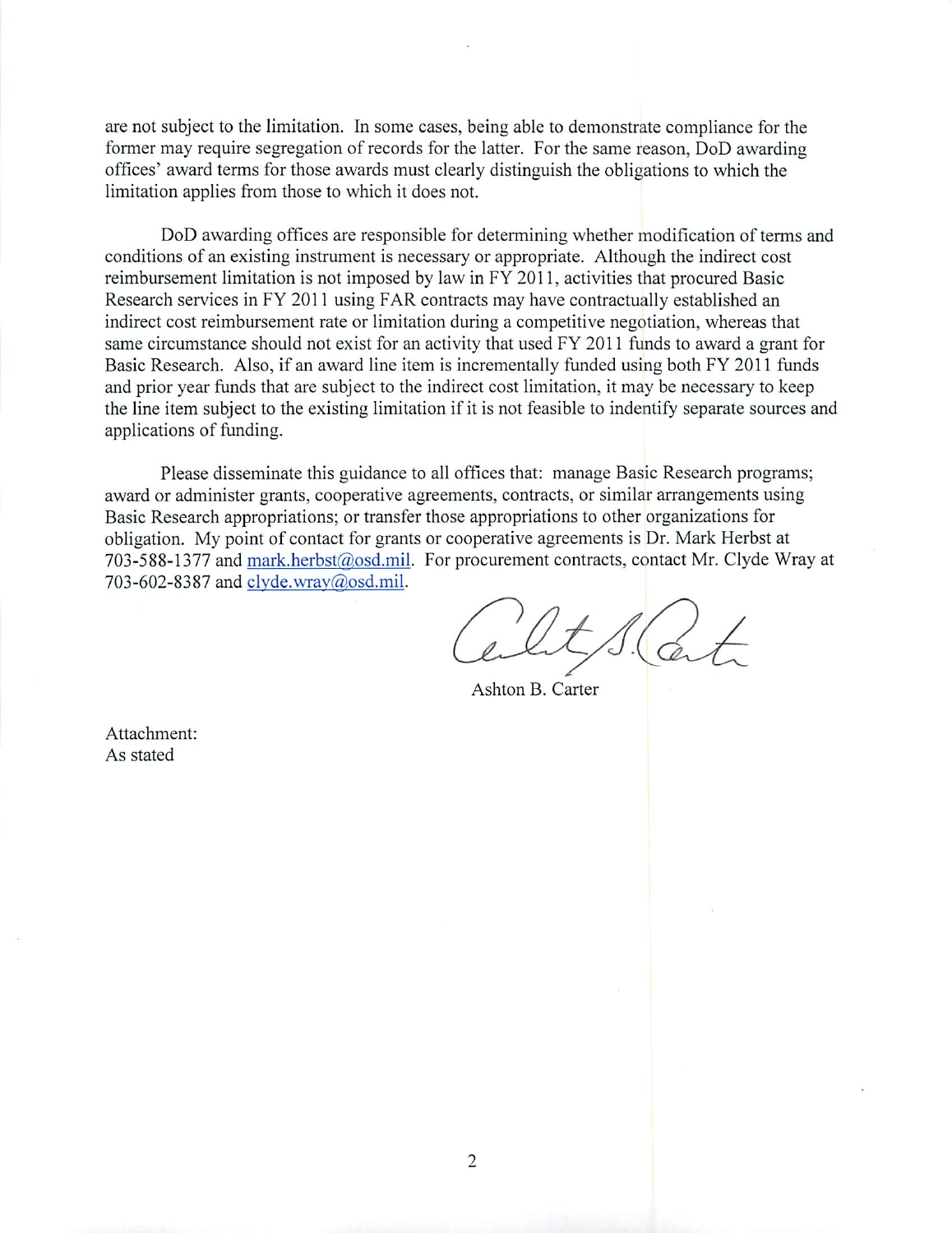are not subject to the limitation. In some cases, being able to demonstrate compliance for the former may require segregation of records for the latter. For the same reason, DoD awarding offices' award terms for those awards must clearly distinguish the obligations to which the limitation applies from those to which it does not.

DoD awarding offices are responsible for determining whether modification of terms and conditions of an existing instrument is necessary or appropriate. Although the indirect cost reimbursement limitation is not imposed by law in FY 2011, activities that procured Basic Research services in FY 2011 using FAR contracts may have contractually established an indirect cost reimbursement rate or limitation during a competitive negotiation, whereas that same circumstance should not exist for an activity that used FY 2011 funds to award a grant for Basic Research. Also, if an award line item is incrementally funded using both FY 2011 funds and prior year funds that are subject to the indirect cost limitation, it may be necessary to keep the line item subject to the existing limitation if it is not feasible to indentify separate sources and applications of funding.

Please disseminate this guidance to all offices that: manage Basic Research programs; award or administer grants, cooperative agreements, contracts, or similar arrangements using Basic Research appropriations; or transfer those appropriations to other organizations for obligation. My point of contact for grants or cooperative agreements is Dr. Mark Herbst at 703-588-1377 and mark.herbst@osd.mil. For procurement contracts, contact Mr. Clyde Wray at 703-602-8387 and clyde.wray@osd.mil.

Ashton B. Carter

Attachment: As stated